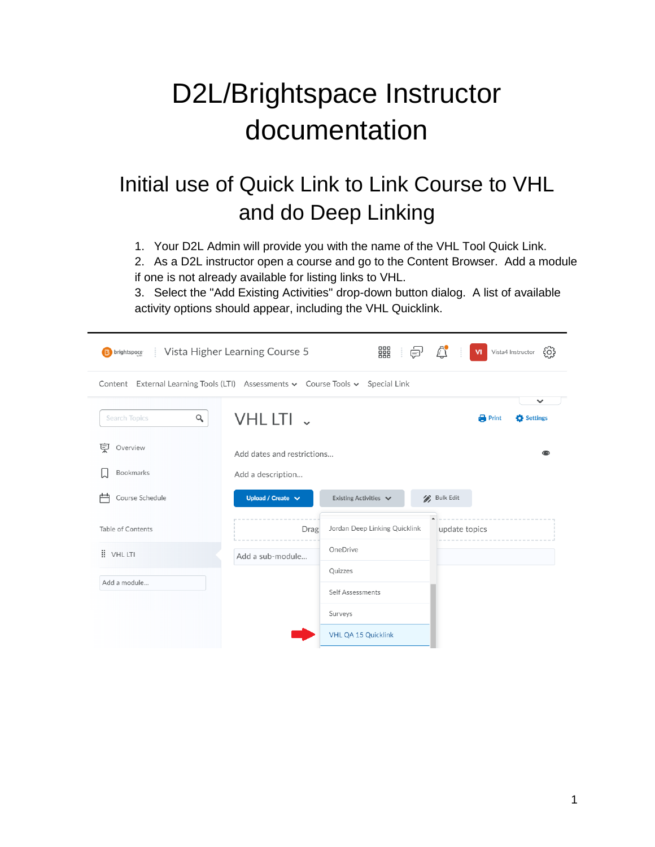# D2L/Brightspace Instructor documentation

## Initial use of Quick Link to Link Course to VHL and do Deep Linking

1. Your D2L Admin will provide you with the name of the VHL Tool Quick Link.

2. As a D2L instructor open a course and go to the Content Browser. Add a module if one is not already available for listing links to VHL.

3. Select the "Add Existing Activities" drop-down button dialog. A list of available activity options should appear, including the VHL Quicklink.

| <b>B</b> brightspace                                                            | Vista Higher Learning Course 5 | 器<br>ė,                       | ₫             | $\mathbf{M}$ | {၀}<br>Vista4 Instructor |
|---------------------------------------------------------------------------------|--------------------------------|-------------------------------|---------------|--------------|--------------------------|
| Content External Learning Tools (LTI) Assessments v Course Tools v Special Link |                                |                               |               |              |                          |
| Q<br><b>Search Topics</b>                                                       | VHL LTI v                      |                               |               | <b>Print</b> | $\checkmark$<br>Settings |
| 孠<br>Overview                                                                   | Add dates and restrictions     |                               |               |              |                          |
| Bookmarks                                                                       | Add a description              |                               |               |              |                          |
| Course Schedule                                                                 | Upload / Create $\vee$         | Existing Activities V         | / Bulk Edit   |              |                          |
| Table of Contents                                                               | Drag                           | Jordan Deep Linking Quicklink | update topics |              |                          |
| <b>E</b> VHL LTI                                                                | Add a sub-module               | OneDrive                      |               |              |                          |
| Add a module                                                                    |                                | Quizzes                       |               |              |                          |
|                                                                                 |                                | Self Assessments              |               |              |                          |
|                                                                                 |                                | Surveys                       |               |              |                          |
|                                                                                 |                                | VHL QA 15 Quicklink           |               |              |                          |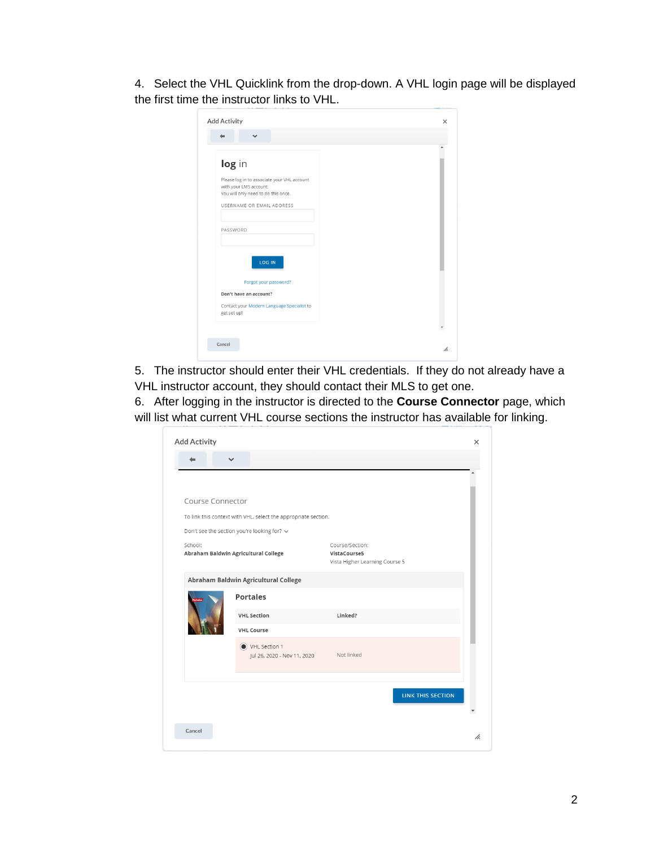4. Select the VHL Quicklink from the drop-down. A VHL login page will be displayed the first time the instructor links to VHL.

| log in                                                        |  |
|---------------------------------------------------------------|--|
| Please log in to associate your VHL account                   |  |
| with your LMS account.<br>You will only need to do this once. |  |
| USERNAME OR EMAIL ADDRESS                                     |  |
|                                                               |  |
| PASSWORD                                                      |  |
|                                                               |  |
| LOG IN                                                        |  |
|                                                               |  |
| Forgot your password?                                         |  |
| Don't have an account?                                        |  |
| Contact your Modern Language Specialist to<br>get set up!     |  |
|                                                               |  |

5. The instructor should enter their VHL credentials. If they do not already have a VHL instructor account, they should contact their MLS to get one.

6. After logging in the instructor is directed to the **Course Connector** page, which will list what current VHL course sections the instructor has available for linking.

|                  | $\checkmark$                                                   |                                                                   |
|------------------|----------------------------------------------------------------|-------------------------------------------------------------------|
|                  |                                                                |                                                                   |
|                  |                                                                |                                                                   |
| Course Connector |                                                                |                                                                   |
|                  | To link this context with VHL, select the appropriate section. |                                                                   |
|                  | Don't see the section you're looking for? v                    |                                                                   |
| School:          | Abraham Baldwin Agricultural College                           | Course/Section:<br>VistaCourse5<br>Vista Higher Learning Course 5 |
|                  | Abraham Baldwin Agricultural College                           |                                                                   |
|                  | <b>Portales</b>                                                |                                                                   |
|                  | <b>VHL Section</b>                                             | Linked?                                                           |
|                  | <b>VHL Course</b>                                              |                                                                   |
|                  | VHL Section 1<br>Jul 26, 2020 - Nov 11, 2020                   | Not linked                                                        |
|                  |                                                                | <b>LINK THIS SECTION</b>                                          |
|                  |                                                                |                                                                   |
|                  |                                                                |                                                                   |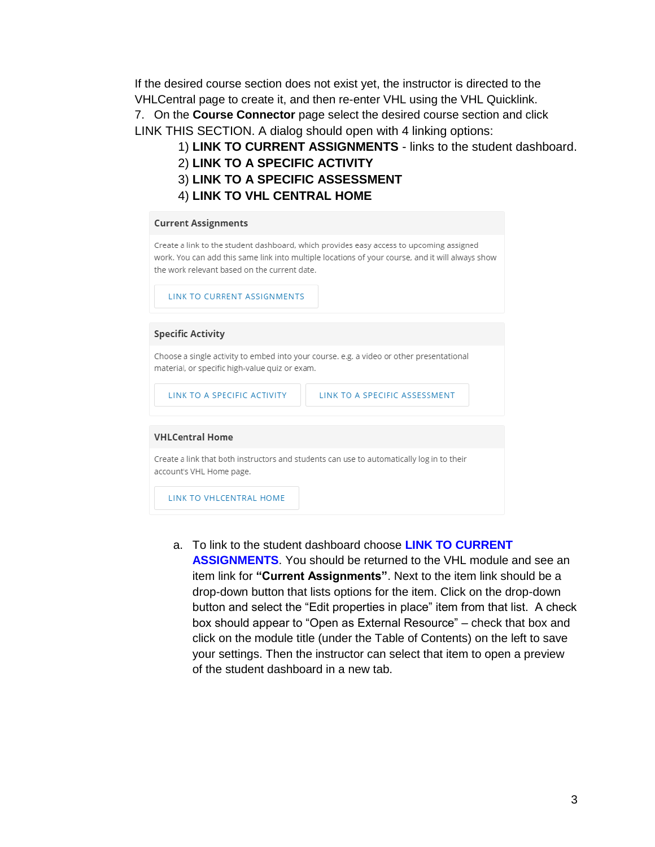If the desired course section does not exist yet, the instructor is directed to the VHLCentral page to create it, and then re-enter VHL using the VHL Quicklink. 7. On the **Course Connector** page select the desired course section and click LINK THIS SECTION. A dialog should open with 4 linking options:

- 1) **LINK TO CURRENT ASSIGNMENTS** links to the student dashboard.
- 2) **LINK TO A SPECIFIC ACTIVITY**
- 3) **LINK TO A SPECIFIC ASSESSMENT**
- 4) **LINK TO VHL CENTRAL HOME**

#### **Current Assignments**

Create a link to the student dashboard, which provides easy access to upcoming assigned work. You can add this same link into multiple locations of your course, and it will always show the work relevant based on the current date.

LINK TO CURRENT ASSIGNMENTS

#### **Specific Activity**

Choose a single activity to embed into your course. e.g. a video or other presentational material, or specific high-value quiz or exam.

LINK TO A SPECIFIC ACTIVITY

LINK TO A SPECIFIC ASSESSMENT

#### **VHLCentral Home**

Create a link that both instructors and students can use to automatically log in to their account's VHL Home page.

LINK TO VHLCENTRAL HOME

- a. To link to the student dashboard choose **LINK TO CURRENT** 
	- **ASSIGNMENTS**. You should be returned to the VHL module and see an item link for **"Current Assignments"**. Next to the item link should be a drop-down button that lists options for the item. Click on the drop-down button and select the "Edit properties in place" item from that list. A check box should appear to "Open as External Resource" – check that box and click on the module title (under the Table of Contents) on the left to save your settings. Then the instructor can select that item to open a preview of the student dashboard in a new tab.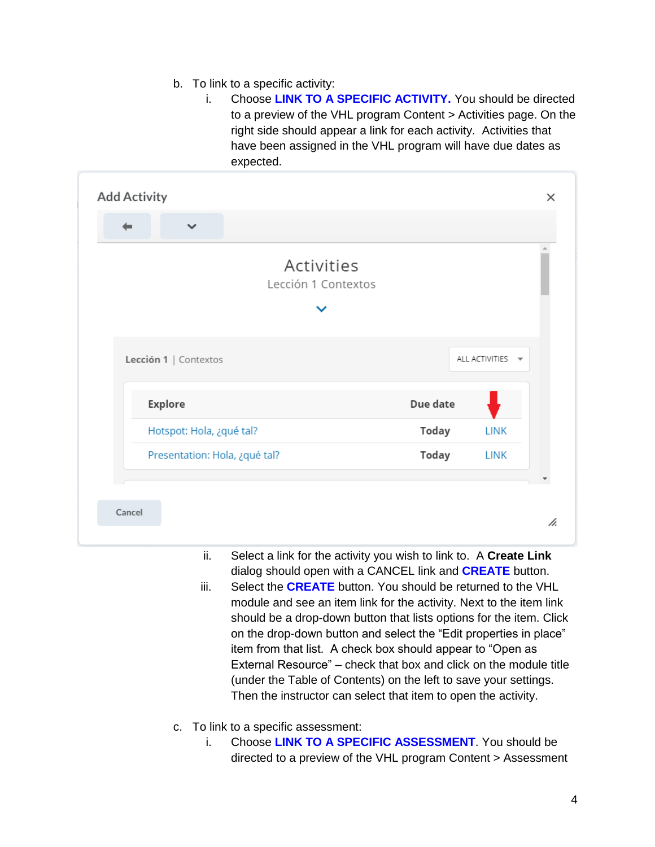- b. To link to a specific activity:
	- i. Choose **LINK TO A SPECIFIC ACTIVITY.** You should be directed to a preview of the VHL program Content > Activities page. On the right side should appear a link for each activity. Activities that have been assigned in the VHL program will have due dates as expected.

|        | <b>Add Activity</b>           |                                   |              |                          | $\times$ |
|--------|-------------------------------|-----------------------------------|--------------|--------------------------|----------|
|        | $\checkmark$                  |                                   |              |                          |          |
|        |                               | Activities<br>Lección 1 Contextos |              |                          |          |
|        |                               |                                   |              |                          |          |
|        | Lección 1   Contextos         |                                   |              | ALL ACTIVITIES $\forall$ |          |
|        | <b>Explore</b>                |                                   | Due date     |                          |          |
|        | Hotspot: Hola, ¿qué tal?      |                                   | <b>Today</b> | <b>LINK</b>              |          |
|        | Presentation: Hola, ¿qué tal? |                                   | Today        | <b>LINK</b>              |          |
|        |                               |                                   |              |                          |          |
| Cancel |                               |                                   |              |                          | h.       |

- ii. Select a link for the activity you wish to link to. A **Create Link** dialog should open with a CANCEL link and **CREATE** button.
- iii. Select the **CREATE** button. You should be returned to the VHL module and see an item link for the activity. Next to the item link should be a drop-down button that lists options for the item. Click on the drop-down button and select the "Edit properties in place" item from that list. A check box should appear to "Open as External Resource" – check that box and click on the module title (under the Table of Contents) on the left to save your settings. Then the instructor can select that item to open the activity.
- c. To link to a specific assessment:
	- i. Choose **LINK TO A SPECIFIC ASSESSMENT**. You should be directed to a preview of the VHL program Content > Assessment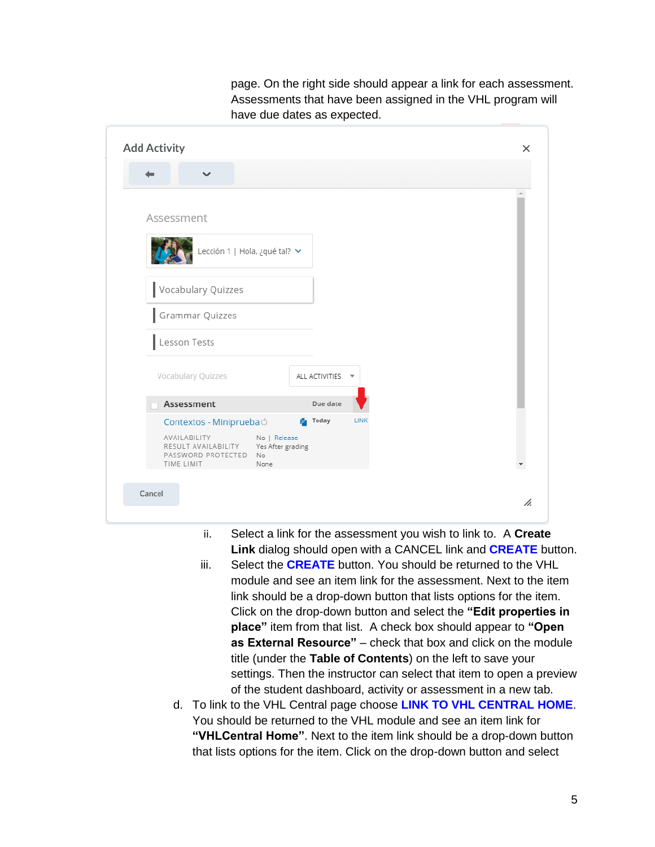| <b>Add Activity</b>                                                                                                        |
|----------------------------------------------------------------------------------------------------------------------------|
| $\checkmark$                                                                                                               |
| Assessment                                                                                                                 |
| Lección 1   Hola, ¿qué tal? v                                                                                              |
| Vocabulary Quizzes                                                                                                         |
| Grammar Quizzes                                                                                                            |
| Lesson Tests                                                                                                               |
| Vocabulary Quizzes<br>ALL ACTIVITIES $\blacktriangledown$                                                                  |
| Assessment<br>Due date                                                                                                     |
| <b>Pa</b> Today<br><b>LINK</b><br>Contextos - Miniprueba                                                                   |
| AVAILABILITY<br>No   Release<br>RESULT AVAILABILITY<br>Yes After grading<br>PASSWORD PROTECTED<br>No<br>TIME LIMIT<br>None |
|                                                                                                                            |
| Cancel                                                                                                                     |

page. On the right side should appear a link for each assessment. Assessments that have been assigned in the VHL program will have due dates as expected.

- ii. Select a link for the assessment you wish to link to. A **Create Link** dialog should open with a CANCEL link and **CREATE** button.
- iii. Select the **CREATE** button. You should be returned to the VHL module and see an item link for the assessment. Next to the item link should be a drop-down button that lists options for the item. Click on the drop-down button and select the **"Edit properties in place"** item from that list. A check box should appear to **"Open as External Resource"** – check that box and click on the module title (under the **Table of Contents**) on the left to save your settings. Then the instructor can select that item to open a preview of the student dashboard, activity or assessment in a new tab.
- d. To link to the VHL Central page choose **LINK TO VHL CENTRAL HOME**. You should be returned to the VHL module and see an item link for **"VHLCentral Home"**. Next to the item link should be a drop-down button that lists options for the item. Click on the drop-down button and select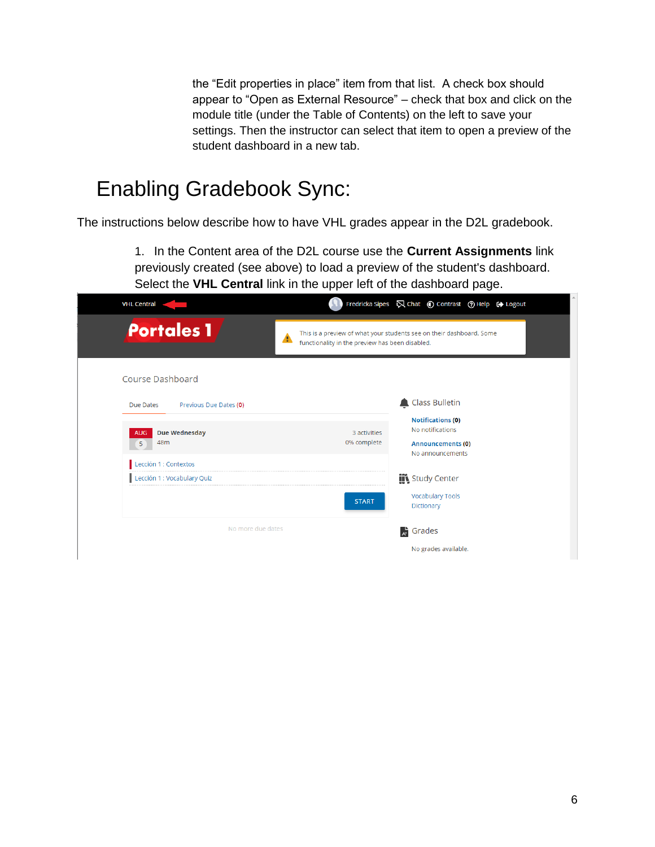the "Edit properties in place" item from that list. A check box should appear to "Open as External Resource" – check that box and click on the module title (under the Table of Contents) on the left to save your settings. Then the instructor can select that item to open a preview of the student dashboard in a new tab.

### Enabling Gradebook Sync:

The instructions below describe how to have VHL grades appear in the D2L gradebook.

1. In the Content area of the D2L course use the **Current Assignments** link previously created (see above) to load a preview of the student's dashboard. Select the **VHL Central** link in the upper left of the dashboard page.

| <b>VHL Central</b>                       |                                                      | Fredricka Sipes $\bigotimes$ Chat $\bigcirc$ Contrast $\bigcirc$ Help $\bigcirc$ Logout      |
|------------------------------------------|------------------------------------------------------|----------------------------------------------------------------------------------------------|
| <b>Portales 1</b>                        | ▲<br>functionality in the preview has been disabled. | This is a preview of what your students see on their dashboard. Some                         |
| <b>Course Dashboard</b>                  |                                                      |                                                                                              |
| Previous Due Dates (0)<br>Due Dates      |                                                      | <b>Class Bulletin</b>                                                                        |
| Due Wednesday<br><b>AUG</b><br>48m<br>5. | 3 activities<br>0% complete                          | <b>Notifications (0)</b><br>No notifications<br><b>Announcements (0)</b><br>No announcements |
| Lección 1 : Contextos                    |                                                      |                                                                                              |
| Lección 1 : Vocabulary Quiz              | <b>START</b>                                         | <b>III</b> Study Center<br><b>Vocabulary Tools</b><br>Dictionary                             |
| No more due dates                        |                                                      | $A^{\mathsf{L}}$ Grades                                                                      |
|                                          |                                                      | No grades available.                                                                         |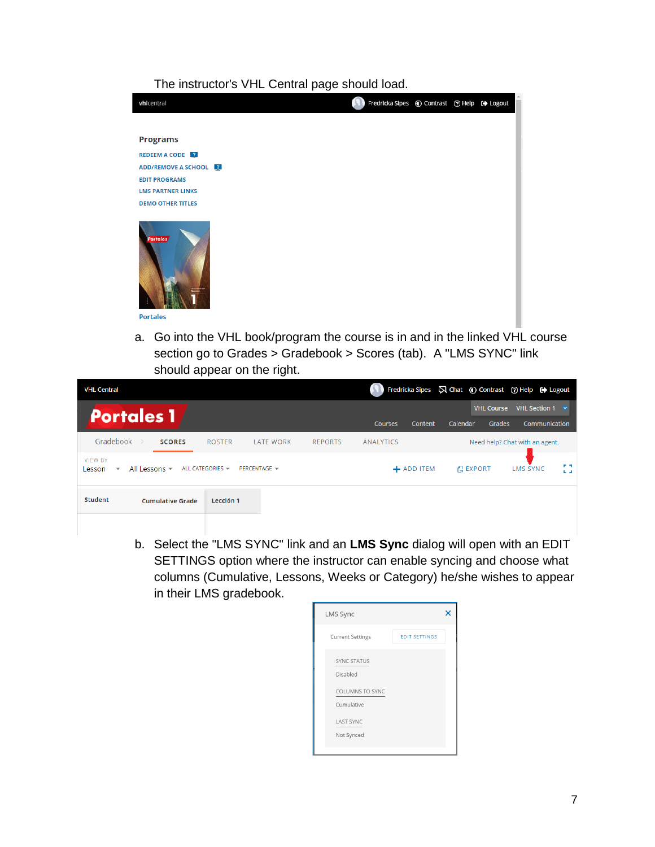### The instructor's VHL Central page should load.



a. Go into the VHL book/program the course is in and in the linked VHL course section go to Grades > Gradebook > Scores (tab). A "LMS SYNC" link should appear on the right.

| <b>VHL Central</b>                                                                                                                              |                                    |            |                                         | Fredricka Sipes $\bigtriangledown$ Chat (c) Contrast (?) Help (+) Logout |
|-------------------------------------------------------------------------------------------------------------------------------------------------|------------------------------------|------------|-----------------------------------------|--------------------------------------------------------------------------|
| <b>Portales 1</b>                                                                                                                               | <b>Courses</b>                     | Content    | <b>VHL Course</b><br>Calendar<br>Grades | <b>VHL Section 1</b><br>$\ddot{\phantom{1}}$<br>Communication            |
| Gradebook<br><b>SCORES</b><br><b>ROSTER</b><br><b>LATE WORK</b>                                                                                 | <b>REPORTS</b><br><b>ANALYTICS</b> |            |                                         | Need help? Chat with an agent.                                           |
| <b>VIEW BY</b><br>ALL CATEGORIES $\blacktriangledown$<br>All Lessons $\blacktriangledown$<br>PERCENTAGE -<br>Lesson<br>$\overline{\phantom{a}}$ |                                    | + ADD ITEM | <b>EXPORT</b>                           | $P = 3$<br><b>LMS SYNC</b><br>$L = 1$                                    |
| <b>Student</b><br>Lección 1<br><b>Cumulative Grade</b>                                                                                          |                                    |            |                                         |                                                                          |
|                                                                                                                                                 |                                    |            |                                         |                                                                          |

b. Select the "LMS SYNC" link and an **LMS Sync** dialog will open with an EDIT SETTINGS option where the instructor can enable syncing and choose what columns (Cumulative, Lessons, Weeks or Category) he/she wishes to appear in their LMS gradebook.

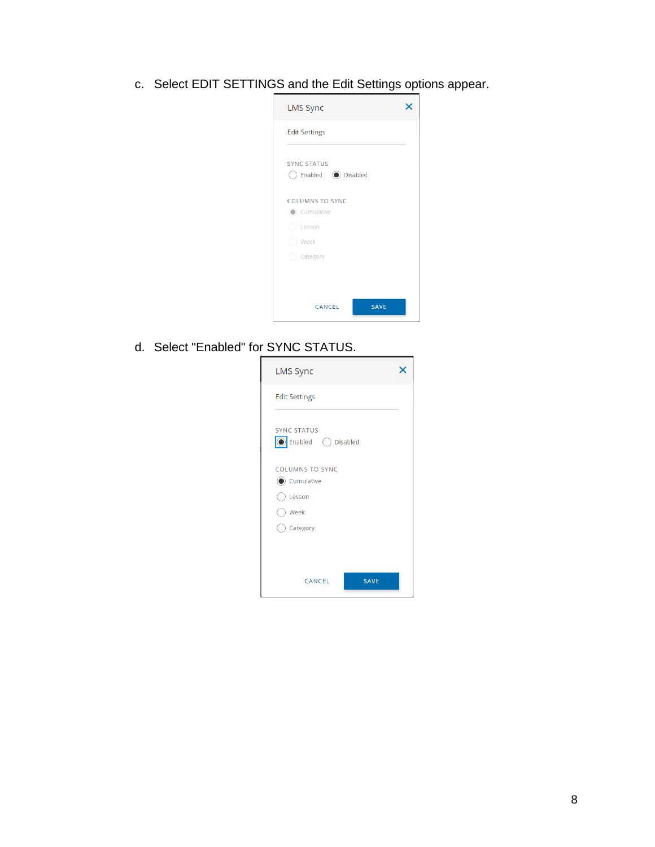c. Select EDIT SETTINGS and the Edit Settings options appear.

| <b>LMS Sync</b>                                                             |  |
|-----------------------------------------------------------------------------|--|
| <b>Edit Settings</b>                                                        |  |
| <b>SYNC STATUS</b><br>◯ Enabled (C) Disabled                                |  |
| <b>COLUMNS TO SYNC</b><br>(C) Cumulative<br>○ Lesson<br>Week<br>() Category |  |
| CANCEL<br><b>SAVE</b>                                                       |  |

d. Select "Enabled" for SYNC STATUS.

| <b>LMS Sync</b>                                                    |  |
|--------------------------------------------------------------------|--|
| <b>Edit Settings</b>                                               |  |
| <b>SYNC STATUS</b><br>◎ Enabled ○ Disabled                         |  |
| <b>COLUMNS TO SYNC</b><br>Cumulative<br>Lesson<br>Week<br>Category |  |
| <b>SAVE</b><br>CANCEL                                              |  |